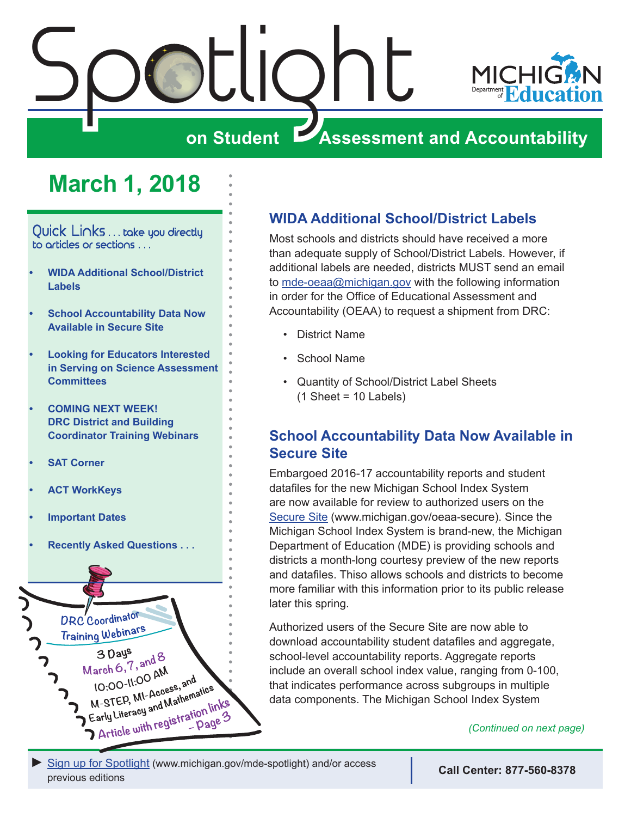<span id="page-0-0"></span>

# **March 1, 2018**

Quick Links . . . take you directly to articles or sections . . .

- **• WIDA Additional School/District Labels**
- **• School Accountability Data Now Available in Secure Site**
- **• [Looking for Educators Interested](#page-1-0)  [in Serving on Science Assessment](#page-1-0)  [Committees](#page-1-0)**
- **• [COMING NEXT WEEK!](#page-2-0)  [DRC District and Building](#page-2-0)  [Coordinator Training Webinars](#page-2-0)**
- **• [SAT Corner](#page-3-0)**
- **• [ACT WorkKeys](#page-5-0)**
- **• [Important Dates](#page-10-0)**
- **• [Recently Asked Questions . . .](#page-12-0)**



# **WIDA Additional School/District Labels**

Most schools and districts should have received a more than adequate supply of School/District Labels. However, if additional labels are needed, districts MUST send an email to [mde-oeaa@michigan.gov](mailto:mde-oeaa%40michigan.gov?subject=) with the following information in order for the Office of Educational Assessment and Accountability (OEAA) to request a shipment from DRC:

- District Name
- School Name
- Quantity of School/District Label Sheets  $(1 \text{ Sheet} = 10 \text{ Labels})$

# **School Accountability Data Now Available in Secure Site**

Embargoed 2016-17 accountability reports and student datafiles for the new Michigan School Index System are now available for review to authorized users on the [Secure Site](http://www.michigan.gov/oeaa-secure) ([www.michigan.gov/oeaa-secure](http://www.michigan.gov/oeaa-secure)). Since the Michigan School Index System is brand-new, the Michigan Department of Education (MDE) is providing schools and districts a month-long courtesy preview of the new reports and datafiles. Thiso allows schools and districts to become more familiar with this information prior to its public release later this spring.

Authorized users of the Secure Site are now able to download accountability student datafiles and aggregate, school-level accountability reports. Aggregate reports include an overall school index value, ranging from 0-100, that indicates performance across subgroups in multiple data components. The Michigan School Index System

*(Continued on next page)*

[Sign up for Spotlight](https://public.govdelivery.com/accounts/MIMDE/subscriber/new) [\(www.michigan.gov/mde](www.michigan.gov/mde-spotlight)-spotlight) and/or access previous editions

**Call Center: 877-560-8378**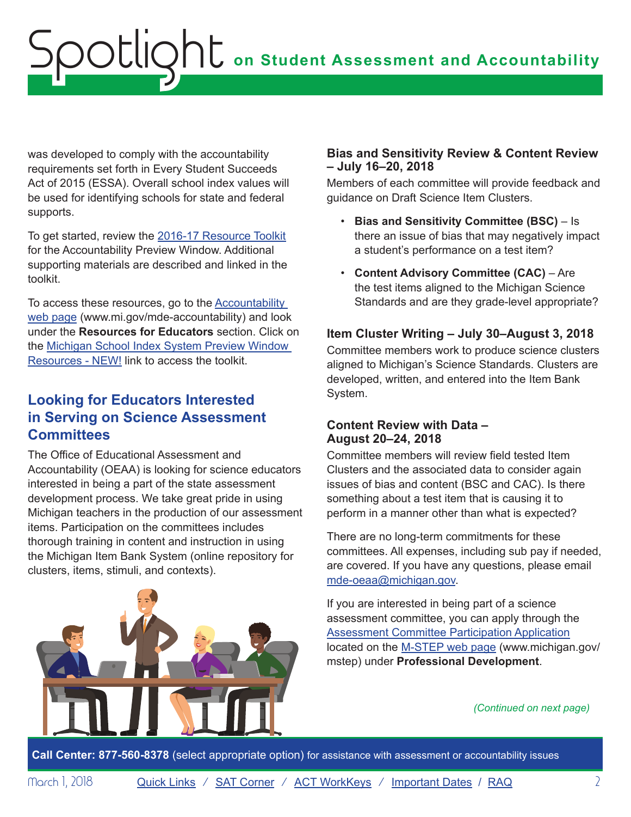<span id="page-1-0"></span>was developed to comply with the accountability requirements set forth in Every Student Succeeds Act of 2015 (ESSA). Overall school index values will be used for identifying schools for state and federal supports.

To get started, review the [2016-17 Resource Toolkit](http://www.michigan.gov/documents/mde/Accountability_Preview_Window_Resource_Toolkit_615468_7.pdf) for the Accountability Preview Window. Additional supporting materials are described and linked in the toolkit.

To access these resources, go to the **Accountability** [web page \(www.mi.gov/mde-accountability\)](http://www.mi.gov/mde-accountability) and look under the **Resources for Educators** section. Click on the [Michigan School Index System Preview Window](http://www.michigan.gov/mde/0,4615,7-140-81376_59490-251853--,00.html)  [Resources - NEW!](http://www.michigan.gov/mde/0,4615,7-140-81376_59490-251853--,00.html) link to access the toolkit.

# **Looking for Educators Interested in Serving on Science Assessment Committees**

The Office of Educational Assessment and Accountability (OEAA) is looking for science educators interested in being a part of the state assessment development process. We take great pride in using Michigan teachers in the production of our assessment items. Participation on the committees includes thorough training in content and instruction in using the Michigan Item Bank System (online repository for clusters, items, stimuli, and contexts).



## **Bias and Sensitivity Review & Content Review – July 16–20, 2018**

Members of each committee will provide feedback and guidance on Draft Science Item Clusters.

- **Bias and Sensitivity Committee (BSC)**  Is there an issue of bias that may negatively impact a student's performance on a test item?
- **Content Advisory Committee (CAC)**  Are the test items aligned to the Michigan Science Standards and are they grade-level appropriate?

## **Item Cluster Writing – July 30–August 3, 2018**

Committee members work to produce science clusters aligned to Michigan's Science Standards. Clusters are developed, written, and entered into the Item Bank System.

## **Content Review with Data – August 20–24, 2018**

Committee members will review field tested Item Clusters and the associated data to consider again issues of bias and content (BSC and CAC). Is there something about a test item that is causing it to perform in a manner other than what is expected?

There are no long-term commitments for these committees. All expenses, including sub pay if needed, are covered. If you have any questions, please email [mde-oeaa@michigan.gov.](mailto:mde-oeaa%40michigan.gov?subject=)

If you are interested in being part of a science assessment committee, you can apply through the [Assessment Committee Participation Application](http://www.cvent.com/surveys/Questions/IDConfirm.aspx?s=06002a4e-c578-417d-807f-542787fad180) located on the [M-STEP web page \(www.michigan.gov/](www.michigan.gov/mstep) [mstep](www.michigan.gov/mstep)) under **Professional Development**.

### *(Continued on next page)*

**Call Center: 877-560-8378** (select appropriate option) for assistance with assessment or accountability issues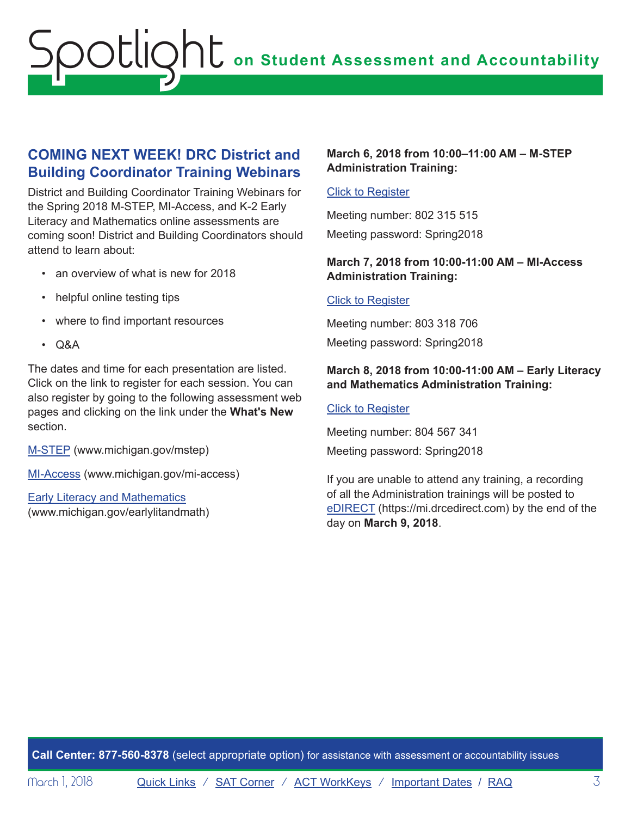# <span id="page-2-0"></span>**COMING NEXT WEEK! DRC District and Building Coordinator Training Webinars**

District and Building Coordinator Training Webinars for the Spring 2018 M-STEP, MI-Access, and K-2 Early Literacy and Mathematics online assessments are coming soon! District and Building Coordinators should attend to learn about:

- an overview of what is new for 2018
- helpful online testing tips
- where to find important resources
- Q&A

The dates and time for each presentation are listed. Click on the link to register for each session. You can also register by going to the following assessment web pages and clicking on the link under the **What's New** section.

[M-STEP](www.michigan.gov/mstep) [\(www.michigan.gov/mstep](www.michigan.gov/mstep))

[MI-Access](http://www.michigan.gov/mi-access) [\(www.michigan.gov/mi-access\)](http://www.michigan.gov/mi-access)

[Early Literacy and Mathematics](www.michigan.gov/earlylitandmath) (<www.michigan.gov/earlylitandmath>)

## **March 6, 2018 from 10:00–11:00 AM – M-STEP Administration Training:**

### Click to Register

Meeting number: 802 315 515 Meeting password: Spring2018

## **March 7, 2018 from 10:00-11:00 AM – MI-Access Administration Training:**

### Click to Register

Meeting number: 803 318 706 Meeting password: Spring2018

### **March 8, 2018 from 10:00-11:00 AM – Early Literacy and Mathematics Administration Training:**

#### Click to Register

Meeting number: 804 567 341 Meeting password: Spring2018

If you are unable to attend any training, a recording of all the Administration trainings will be posted to [eDIRECT](https://mi.drcedirect.com) ([https://mi.drcedirect.com\)](https://mi.drcedirect.com) by the end of the day on **March 9, 2018**.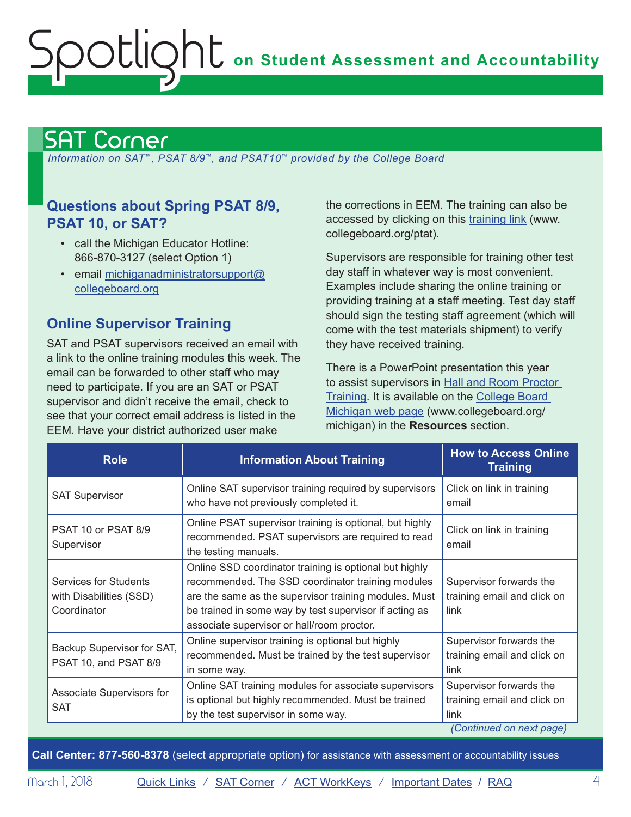# <span id="page-3-1"></span><span id="page-3-0"></span>SAT Corner

 *Information on SAT*™*, PSAT 8/9*™*, and PSAT10*™ *provided by the College Board*

## **Questions about Spring PSAT 8/9, PSAT 10, or SAT?**

- call the Michigan Educator Hotline: 866-870-3127 (select Option 1)
- email [michiganadministratorsupport@](mailto:michiganadministratorsupport%40collegeboard.org?subject=) [collegeboard.org](mailto:michiganadministratorsupport%40collegeboard.org?subject=)

# **Online Supervisor Training**

SAT and PSAT supervisors received an email with a link to the online training modules this week. The email can be forwarded to other staff who may need to participate. If you are an SAT or PSAT supervisor and didn't receive the email, check to see that your correct email address is listed in the EEM. Have your district authorized user make

the corrections in EEM. The training can also be accessed by clicking on this [training link](http://www.collegeboard.org/ptat) ([www.](http://www.collegeboard.org/pta) [collegeboard.org/ptat](http://www.collegeboard.org/pta)).

Supervisors are responsible for training other test day staff in whatever way is most convenient. Examples include sharing the online training or providing training at a staff meeting. Test day staff should sign the testing staff agreement (which will come with the test materials shipment) to verify they have received training.

There is a PowerPoint presentation this year to assist supervisors in [Hall and Room Proctor](https://collegereadiness.collegeboard.org/pdf/hall-and-room-proctor-training.pdf)  [Training.](https://collegereadiness.collegeboard.org/pdf/hall-and-room-proctor-training.pdf) It is available on the [College Board](http://www.collegeboard.org/michigan)  [Michigan web page](http://www.collegeboard.org/michigan) [\(www.collegeboard.org/](http://www.collegeboard.org/michigan) [michigan\)](http://www.collegeboard.org/michigan) in the **Resources** section.

| <b>Role</b>                                                     | <b>Information About Training</b>                                                                                                                                                                                                                                            | <b>How to Access Online</b><br><b>Training</b>                                             |
|-----------------------------------------------------------------|------------------------------------------------------------------------------------------------------------------------------------------------------------------------------------------------------------------------------------------------------------------------------|--------------------------------------------------------------------------------------------|
| <b>SAT Supervisor</b>                                           | Online SAT supervisor training required by supervisors<br>who have not previously completed it.                                                                                                                                                                              | Click on link in training<br>email                                                         |
| PSAT 10 or PSAT 8/9<br>Supervisor                               | Online PSAT supervisor training is optional, but highly<br>recommended. PSAT supervisors are required to read<br>the testing manuals.                                                                                                                                        | Click on link in training<br>email                                                         |
| Services for Students<br>with Disabilities (SSD)<br>Coordinator | Online SSD coordinator training is optional but highly<br>recommended. The SSD coordinator training modules<br>are the same as the supervisor training modules. Must<br>be trained in some way by test supervisor if acting as<br>associate supervisor or hall/room proctor. | Supervisor forwards the<br>training email and click on<br>link                             |
| Backup Supervisor for SAT,<br>PSAT 10, and PSAT 8/9             | Online supervisor training is optional but highly<br>recommended. Must be trained by the test supervisor<br>in some way.                                                                                                                                                     | Supervisor forwards the<br>training email and click on<br>link                             |
| Associate Supervisors for<br><b>SAT</b>                         | Online SAT training modules for associate supervisors<br>is optional but highly recommended. Must be trained<br>by the test supervisor in some way.                                                                                                                          | Supervisor forwards the<br>training email and click on<br>link<br>(Continued on next page) |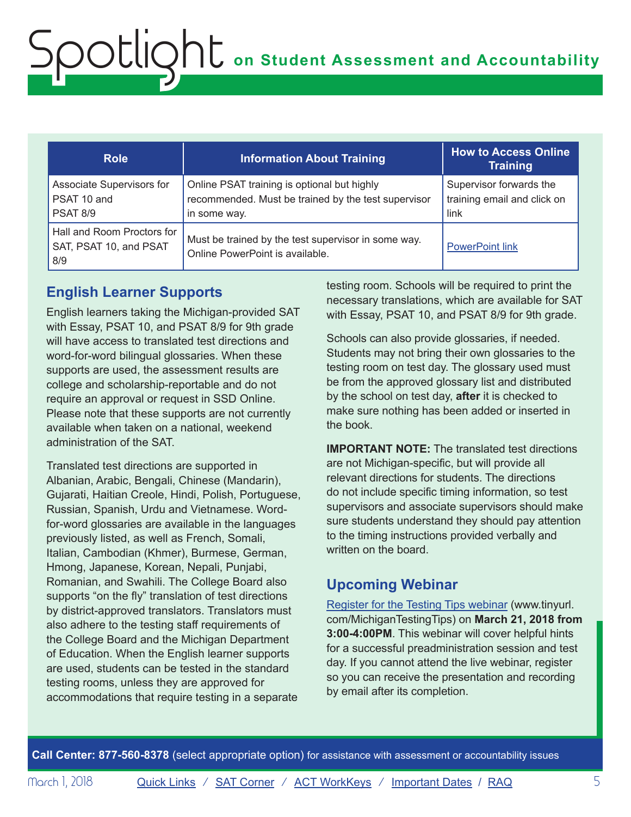| <b>Role</b>                                                 | <b>Information About Training</b>                                                                                  | <b>How to Access Online</b><br>Training                        |
|-------------------------------------------------------------|--------------------------------------------------------------------------------------------------------------------|----------------------------------------------------------------|
| Associate Supervisors for<br>PSAT 10 and<br><b>PSAT 8/9</b> | Online PSAT training is optional but highly<br>recommended. Must be trained by the test supervisor<br>in some way. | Supervisor forwards the<br>training email and click on<br>link |
| Hall and Room Proctors for<br>SAT, PSAT 10, and PSAT<br>8/9 | Must be trained by the test supervisor in some way.<br>Online PowerPoint is available.                             | <b>PowerPoint link</b>                                         |

# **English Learner Supports**

English learners taking the Michigan-provided SAT with Essay, PSAT 10, and PSAT 8/9 for 9th grade will have access to translated test directions and word-for-word bilingual glossaries. When these supports are used, the assessment results are college and scholarship-reportable and do not require an approval or request in SSD Online. Please note that these supports are not currently available when taken on a national, weekend administration of the SAT.

Translated test directions are supported in Albanian, Arabic, Bengali, Chinese (Mandarin), Gujarati, Haitian Creole, Hindi, Polish, Portuguese, Russian, Spanish, Urdu and Vietnamese. Wordfor-word glossaries are available in the languages previously listed, as well as French, Somali, Italian, Cambodian (Khmer), Burmese, German, Hmong, Japanese, Korean, Nepali, Punjabi, Romanian, and Swahili. The College Board also supports "on the fly" translation of test directions by district-approved translators. Translators must also adhere to the testing staff requirements of the College Board and the Michigan Department of Education. When the English learner supports are used, students can be tested in the standard testing rooms, unless they are approved for accommodations that require testing in a separate

testing room. Schools will be required to print the necessary translations, which are available for SAT with Essay, PSAT 10, and PSAT 8/9 for 9th grade.

Schools can also provide glossaries, if needed. Students may not bring their own glossaries to the testing room on test day. The glossary used must be from the approved glossary list and distributed by the school on test day, **after** it is checked to make sure nothing has been added or inserted in the book.

**IMPORTANT NOTE:** The translated test directions are not Michigan-specific, but will provide all relevant directions for students. The directions do not include specific timing information, so test supervisors and associate supervisors should make sure students understand they should pay attention to the timing instructions provided verbally and written on the board.

# **Upcoming Webinar**

[Register for the Testing Tips webinar \(www.tinyurl.](http://www.tinyurl.com/MichiganTestingTips) [com/MichiganTestingTips\)](http://www.tinyurl.com/MichiganTestingTips) on **March 21, 2018 from 3:00-4:00PM**. This webinar will cover helpful hints for a successful preadministration session and test day. If you cannot attend the live webinar, register so you can receive the presentation and recording by email after its completion.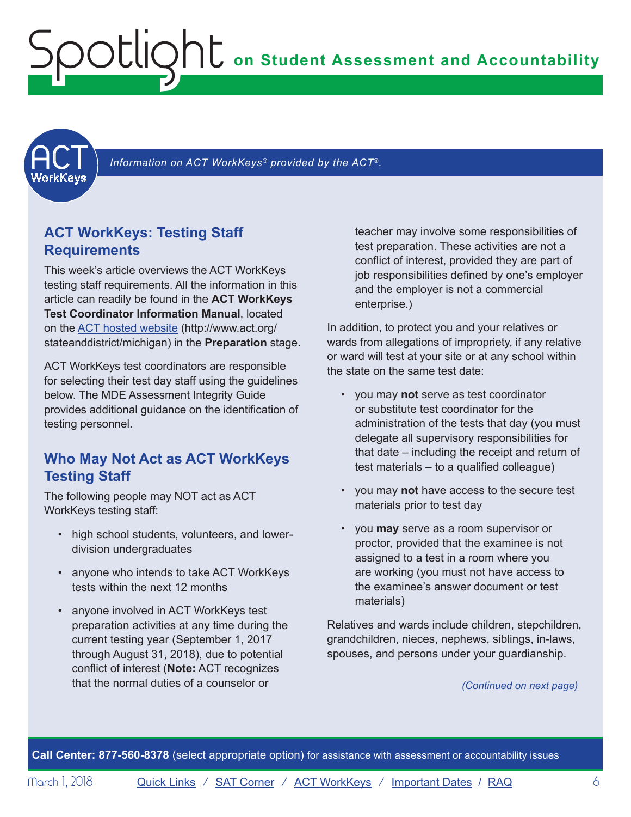<span id="page-5-1"></span><span id="page-5-0"></span>

Information on ACT WorkKeys<sup>®</sup> provided by the ACT<sup>®</sup>.

# **ACT WorkKeys: Testing Staff Requirements**

This week's article overviews the ACT WorkKeys testing staff requirements. All the information in this article can readily be found in the **ACT WorkKeys Test Coordinator Information Manual**, located on the [ACT hosted website \(http://www.act.org/](http://www.act.org/stateanddistrict/michigan) [stateanddistrict/michigan\)](http://www.act.org/stateanddistrict/michigan) in the **Preparation** stage.

ACT WorkKeys test coordinators are responsible for selecting their test day staff using the guidelines below. The MDE Assessment Integrity Guide provides additional guidance on the identification of testing personnel.

## **Who May Not Act as ACT WorkKeys Testing Staff**

The following people may NOT act as ACT WorkKeys testing staff:

- high school students, volunteers, and lowerdivision undergraduates
- anyone who intends to take ACT WorkKeys tests within the next 12 months
- anyone involved in ACT WorkKeys test preparation activities at any time during the current testing year (September 1, 2017 through August 31, 2018), due to potential conflict of interest (**Note:** ACT recognizes that the normal duties of a counselor or

teacher may involve some responsibilities of test preparation. These activities are not a conflict of interest, provided they are part of job responsibilities defined by one's employer and the employer is not a commercial enterprise.)

In addition, to protect you and your relatives or wards from allegations of impropriety, if any relative or ward will test at your site or at any school within the state on the same test date:

- you may **not** serve as test coordinator or substitute test coordinator for the administration of the tests that day (you must delegate all supervisory responsibilities for that date – including the receipt and return of test materials – to a qualified colleague)
- you may **not** have access to the secure test materials prior to test day
- you **may** serve as a room supervisor or proctor, provided that the examinee is not assigned to a test in a room where you are working (you must not have access to the examinee's answer document or test materials)

Relatives and wards include children, stepchildren, grandchildren, nieces, nephews, siblings, in-laws, spouses, and persons under your guardianship.

*(Continued on next page)*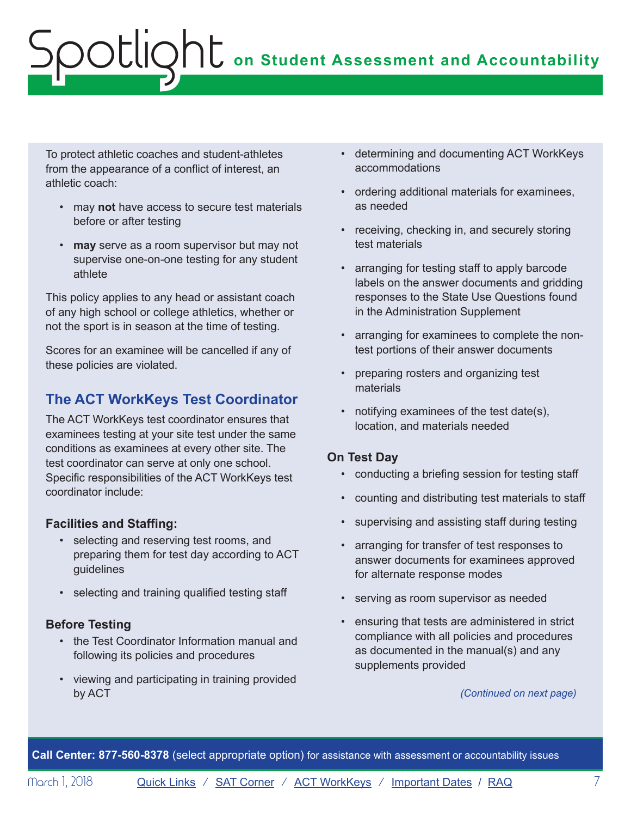To protect athletic coaches and student-athletes from the appearance of a conflict of interest, an athletic coach:

- may **not** have access to secure test materials before or after testing
- **may** serve as a room supervisor but may not supervise one-on-one testing for any student athlete

This policy applies to any head or assistant coach of any high school or college athletics, whether or not the sport is in season at the time of testing.

Scores for an examinee will be cancelled if any of these policies are violated.

# **The ACT WorkKeys Test Coordinator**

The ACT WorkKeys test coordinator ensures that examinees testing at your site test under the same conditions as examinees at every other site. The test coordinator can serve at only one school. Specific responsibilities of the ACT WorkKeys test coordinator include:

## **Facilities and Staffing:**

- selecting and reserving test rooms, and preparing them for test day according to ACT guidelines
- selecting and training qualified testing staff

## **Before Testing**

- the Test Coordinator Information manual and following its policies and procedures
- viewing and participating in training provided by ACT
- determining and documenting ACT WorkKeys accommodations
- ordering additional materials for examinees, as needed
- receiving, checking in, and securely storing test materials
- arranging for testing staff to apply barcode labels on the answer documents and gridding responses to the State Use Questions found in the Administration Supplement
- arranging for examinees to complete the nontest portions of their answer documents
- preparing rosters and organizing test materials
- notifying examinees of the test date(s), location, and materials needed

## **On Test Day**

- conducting a briefing session for testing staff
- counting and distributing test materials to staff
- supervising and assisting staff during testing
- arranging for transfer of test responses to answer documents for examinees approved for alternate response modes
- serving as room supervisor as needed
- ensuring that tests are administered in strict compliance with all policies and procedures as documented in the manual(s) and any supplements provided

*(Continued on next page)*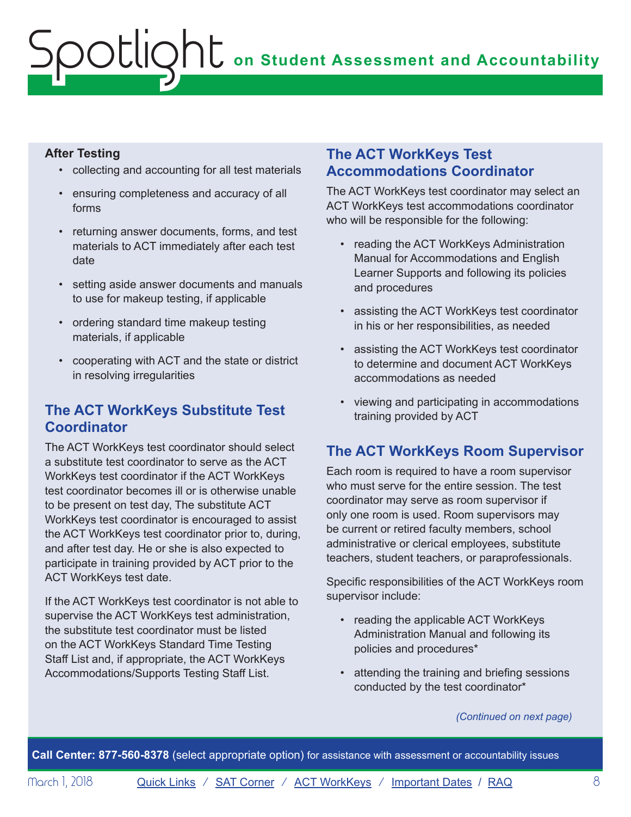## **After Testing**

- collecting and accounting for all test materials
- ensuring completeness and accuracy of all forms
- returning answer documents, forms, and test materials to ACT immediately after each test date
- setting aside answer documents and manuals to use for makeup testing, if applicable
- ordering standard time makeup testing materials, if applicable
- cooperating with ACT and the state or district in resolving irregularities

# **The ACT WorkKeys Substitute Test Coordinator**

The ACT WorkKeys test coordinator should select a substitute test coordinator to serve as the ACT WorkKeys test coordinator if the ACT WorkKeys test coordinator becomes ill or is otherwise unable to be present on test day, The substitute ACT WorkKeys test coordinator is encouraged to assist the ACT WorkKeys test coordinator prior to, during, and after test day. He or she is also expected to participate in training provided by ACT prior to the ACT WorkKeys test date.

If the ACT WorkKeys test coordinator is not able to supervise the ACT WorkKeys test administration, the substitute test coordinator must be listed on the ACT WorkKeys Standard Time Testing Staff List and, if appropriate, the ACT WorkKeys Accommodations/Supports Testing Staff List.

# **The ACT WorkKeys Test Accommodations Coordinator**

The ACT WorkKeys test coordinator may select an ACT WorkKeys test accommodations coordinator who will be responsible for the following:

- reading the ACT WorkKeys Administration Manual for Accommodations and English Learner Supports and following its policies and procedures
- assisting the ACT WorkKeys test coordinator in his or her responsibilities, as needed
- assisting the ACT WorkKeys test coordinator to determine and document ACT WorkKeys accommodations as needed
- viewing and participating in accommodations training provided by ACT

# **The ACT WorkKeys Room Supervisor**

Each room is required to have a room supervisor who must serve for the entire session. The test coordinator may serve as room supervisor if only one room is used. Room supervisors may be current or retired faculty members, school administrative or clerical employees, substitute teachers, student teachers, or paraprofessionals.

Specific responsibilities of the ACT WorkKeys room supervisor include:

- reading the applicable ACT WorkKeys Administration Manual and following its policies and procedures\*
- attending the training and briefing sessions conducted by the test coordinator\*

*(Continued on next page)*

**Call Center: 877-560-8378** (select appropriate option) for assistance with assessment or accountability issues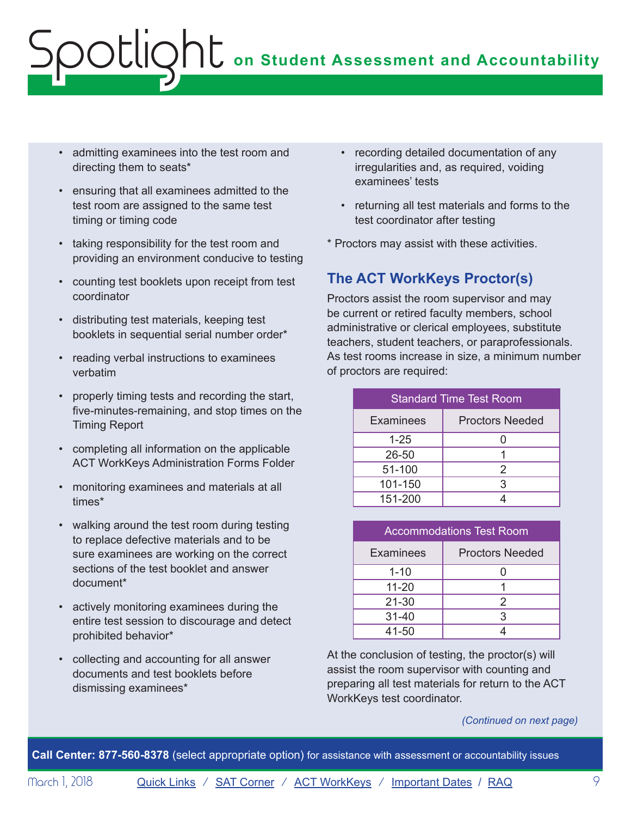- admitting examinees into the test room and directing them to seats\*
- ensuring that all examinees admitted to the test room are assigned to the same test timing or timing code
- taking responsibility for the test room and providing an environment conducive to testing
- counting test booklets upon receipt from test coordinator
- distributing test materials, keeping test booklets in sequential serial number order\*
- reading verbal instructions to examinees verbatim
- properly timing tests and recording the start, five-minutes-remaining, and stop times on the Timing Report
- completing all information on the applicable ACT WorkKeys Administration Forms Folder
- monitoring examinees and materials at all times\*
- walking around the test room during testing to replace defective materials and to be sure examinees are working on the correct sections of the test booklet and answer document\*
- actively monitoring examinees during the entire test session to discourage and detect prohibited behavior\*
- collecting and accounting for all answer documents and test booklets before dismissing examinees\*
- recording detailed documentation of any irregularities and, as required, voiding examinees' tests
- returning all test materials and forms to the test coordinator after testing
- \* Proctors may assist with these activities.

# **The ACT WorkKeys Proctor(s)**

Proctors assist the room supervisor and may be current or retired faculty members, school administrative or clerical employees, substitute teachers, student teachers, or paraprofessionals. As test rooms increase in size, a minimum number of proctors are required:

| <b>Standard Time Test Room</b> |                        |  |  |
|--------------------------------|------------------------|--|--|
| <b>Examinees</b>               | <b>Proctors Needed</b> |  |  |
| $1 - 25$                       |                        |  |  |
| 26-50                          |                        |  |  |
| 51-100                         | 2                      |  |  |
| 101-150                        | 3                      |  |  |
| 151-200                        |                        |  |  |

| <b>Accommodations Test Room</b> |                        |  |  |  |
|---------------------------------|------------------------|--|--|--|
| <b>Examinees</b>                | <b>Proctors Needed</b> |  |  |  |
| $1 - 10$                        |                        |  |  |  |
| $11 - 20$                       |                        |  |  |  |
| $21 - 30$                       | $\mathcal{P}$          |  |  |  |
| $31 - 40$                       | 3                      |  |  |  |
| 41-50                           |                        |  |  |  |

At the conclusion of testing, the proctor(s) will assist the room supervisor with counting and preparing all test materials for return to the ACT WorkKeys test coordinator.

*(Continued on next page)*

**Call Center: 877-560-8378** (select appropriate option) for assistance with assessment or accountability issues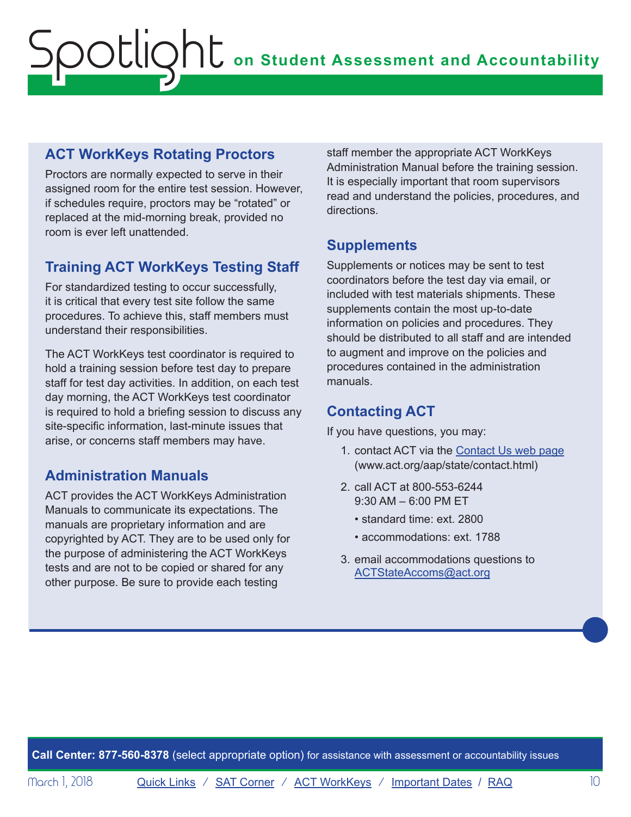# **ACT WorkKeys Rotating Proctors**

Proctors are normally expected to serve in their assigned room for the entire test session. However, if schedules require, proctors may be "rotated" or replaced at the mid-morning break, provided no room is ever left unattended.

# **Training ACT WorkKeys Testing Staff**

For standardized testing to occur successfully, it is critical that every test site follow the same procedures. To achieve this, staff members must understand their responsibilities.

The ACT WorkKeys test coordinator is required to hold a training session before test day to prepare staff for test day activities. In addition, on each test day morning, the ACT WorkKeys test coordinator is required to hold a briefing session to discuss any site-specific information, last-minute issues that arise, or concerns staff members may have.

# **Administration Manuals**

ACT provides the ACT WorkKeys Administration Manuals to communicate its expectations. The manuals are proprietary information and are copyrighted by ACT. They are to be used only for the purpose of administering the ACT WorkKeys tests and are not to be copied or shared for any other purpose. Be sure to provide each testing

staff member the appropriate ACT WorkKeys Administration Manual before the training session. It is especially important that room supervisors read and understand the policies, procedures, and directions.

# **Supplements**

Supplements or notices may be sent to test coordinators before the test day via email, or included with test materials shipments. These supplements contain the most up-to-date information on policies and procedures. They should be distributed to all staff and are intended to augment and improve on the policies and procedures contained in the administration manuals.

# **Contacting ACT**

If you have questions, you may:

- 1. contact ACT via the [Contact Us web page](http://www.act.org/aap/state/contact.html) (<www.act.org/aap/state/contact.html>)
- 2. call ACT at 800-553-6244 9:30 AM – 6:00 PM ET
	- standard time: ext. 2800
	- accommodations: ext. 1788
- 3. email accommodations questions to [ACTStateAccoms@act.org](mailto:ACTStateAccoms%40act.org?subject=)

**Call Center: 877-560-8378** (select appropriate option) for assistance with assessment or accountability issues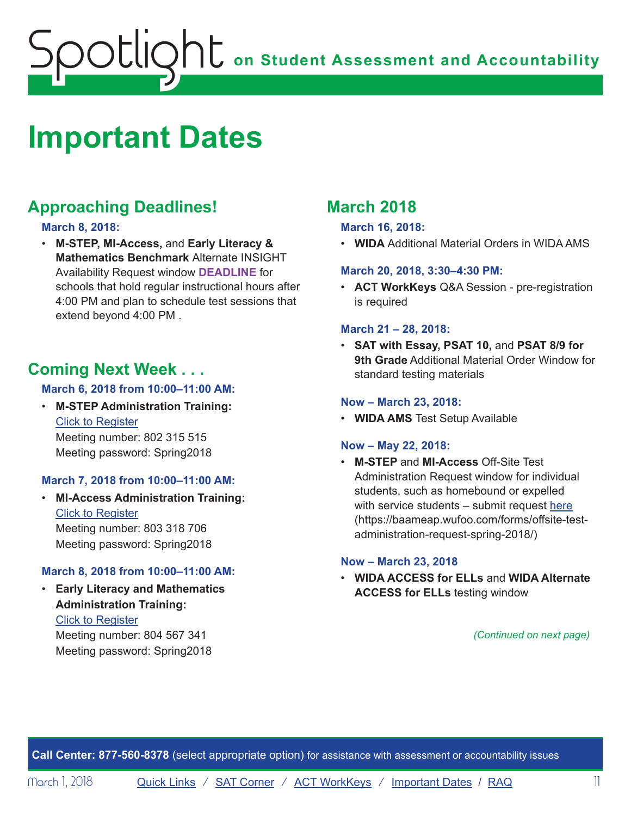# <span id="page-10-1"></span><span id="page-10-0"></span>**Important Dates**

# **Approaching Deadlines!**

## **March 8, 2018:**

• **M-STEP, MI-Access,** and **Early Literacy & Mathematics Benchmark** Alternate INSIGHT Availability Request window **DEADLINE** for schools that hold regular instructional hours after 4:00 PM and plan to schedule test sessions that extend beyond 4:00 PM .

# **Coming Next Week . . .**

## **March 6, 2018 from 10:00–11:00 AM:**

• **M-STEP Administration Training:** Click to Register Meeting number: 802 315 515 Meeting password: Spring2018

## **March 7, 2018 from 10:00–11:00 AM:**

• **MI-Access Administration Training:** Click to Register Meeting number: 803 318 706 Meeting password: Spring2018

## **March 8, 2018 from 10:00–11:00 AM:**

• **Early Literacy and Mathematics Administration Training:**

Click to Register Meeting number: 804 567 341 Meeting password: Spring2018

# **March 2018**

## **March 16, 2018:**

• **WIDA** Additional Material Orders in WIDA AMS

## **March 20, 2018, 3:30–4:30 PM:**

• **ACT WorkKeys** Q&A Session - pre-registration is required

## **March 21 – 28, 2018:**

• **SAT with Essay, PSAT 10,** and **PSAT 8/9 for 9th Grade** Additional Material Order Window for standard testing materials

## **Now – March 23, 2018:**

• **WIDA AMS** Test Setup Available

## **Now – May 22, 2018:**

• **M-STEP** and **MI-Access** Off-Site Test Administration Request window for individual students, such as homebound or expelled with service students – submit request [here](https://baameap.wufoo.com/forms/offsite-test-administration-request-spring-2018/) ([https://baameap.wufoo.com/forms/offsite-test](https://baameap.wufoo.com/forms/offsite-test-administration-request-spring-2018/)[administration-request-spring-2018/\)](https://baameap.wufoo.com/forms/offsite-test-administration-request-spring-2018/)

### **Now – March 23, 2018**

• **WIDA ACCESS for ELLs** and **WIDA Alternate ACCESS for ELLs** testing window

*(Continued on next page)*

**Call Center: 877-560-8378** (select appropriate option) for assistance with assessment or accountability issues

Morch 1, 2018 [Quick Links](#page-0-0) / [SAT Corner](#page-3-1) / [ACT WorkKeys](#page-5-1) / [Important Dates](#page-10-1) / [RAQ](#page-12-1) 111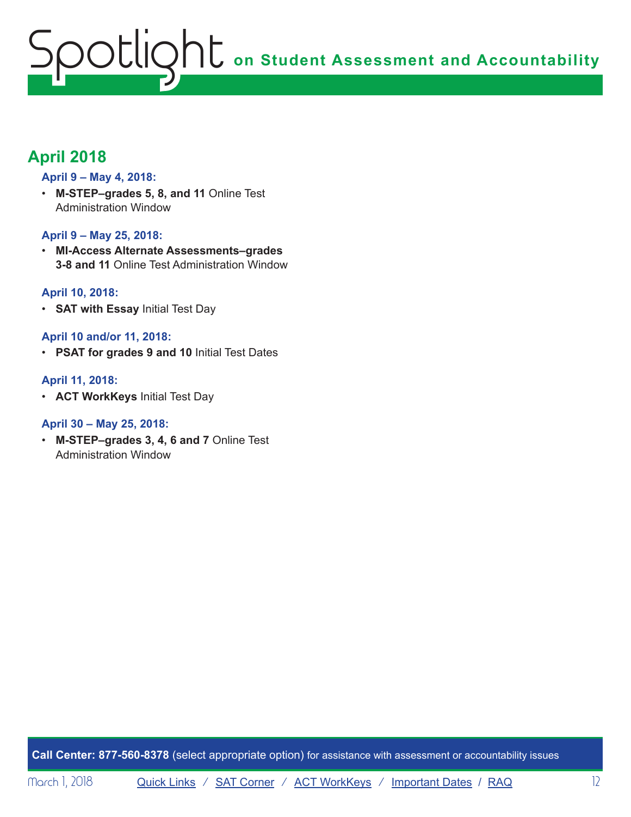# **April 2018**

## **April 9 – May 4, 2018:**

• **M-STEP–grades 5, 8, and 11** Online Test Administration Window

### **April 9 – May 25, 2018:**

• **MI-Access Alternate Assessments–grades 3-8 and 11** Online Test Administration Window

### **April 10, 2018:**

• **SAT with Essay** Initial Test Day

## **April 10 and/or 11, 2018:**

• **PSAT for grades 9 and 10** Initial Test Dates

### **April 11, 2018:**

• **ACT WorkKeys** Initial Test Day

### **April 30 – May 25, 2018:**

• **M-STEP–grades 3, 4, 6 and 7** Online Test Administration Window